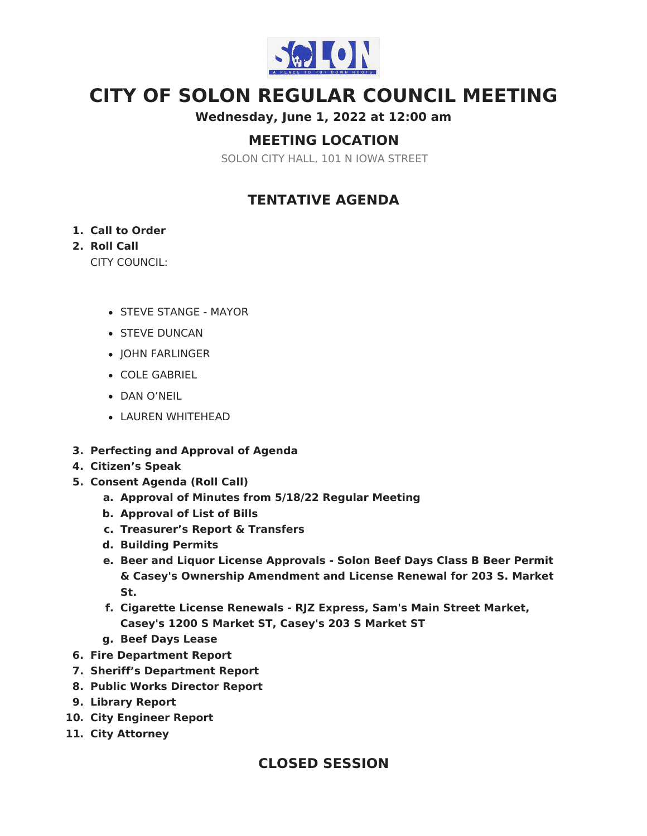

# **CITY OF SOLON REGULAR COUNCIL MEETING**

**Wednesday, June 1, 2022 at 12:00 am**

### **MEETING LOCATION**

SOLON CITY HALL, 101 N IOWA STREET

### **TENTATIVE AGENDA**

#### **1. Call to Order**

#### **2. Roll Call**

CITY COUNCIL:

- STEVE STANGE MAYOR
- **STEVE DUNCAN**
- JOHN FARLINGER
- COLE GABRIEL
- DAN O'NEIL
- LAUREN WHITEHEAD
- **3. Perfecting and Approval of Agenda**
- **4. Citizen's Speak**
- **5. Consent Agenda (Roll Call)**
	- **a. Approval of Minutes from 5/18/22 Regular Meeting**
	- **b. Approval of List of Bills**
	- **c. Treasurer's Report & Transfers**
	- **d. Building Permits**
	- **e. Beer and Liquor License Approvals - Solon Beef Days Class B Beer Permit & Casey's Ownership Amendment and License Renewal for 203 S. Market St.**
	- **f. Cigarette License Renewals - RJZ Express, Sam's Main Street Market, Casey's 1200 S Market ST, Casey's 203 S Market ST**
	- **g. Beef Days Lease**
- **6. Fire Department Report**
- **7. Sheriff's Department Report**
- **8. Public Works Director Report**
- **9. Library Report**
- **10. City Engineer Report**
- **11. City Attorney**

### **CLOSED SESSION**